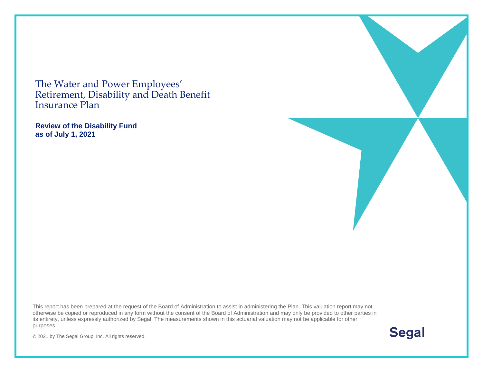The Water and Power Employees' Retirement, Disability and Death Benefit Insurance Plan

**Review of the Disability Fund as of July 1, 2021** 

This report has been prepared at the request of the Board of Administration to assist in administering the Plan. This valuation report may not otherwise be copied or reproduced in any form without the consent of the Board of Administration and may only be provided to other parties in its entirety, unless expressly authorized by Segal. The measurements shown in this actuarial valuation may not be applicable for other purposes.

**Segal** 

© 2021 by The Segal Group, Inc. All rights reserved.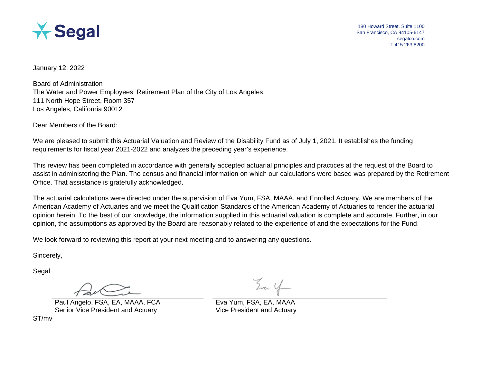

180 Howard Street, Suite 1100 San Francisco, CA 94105-6147 segalco.com T 415.263.8200

January 12, 2022

Board of Administration The Water and Power Employees' Retirement Plan of the City of Los Angeles 111 North Hope Street, Room 357 Los Angeles, California 90012

Dear Members of the Board:

We are pleased to submit this Actuarial Valuation and Review of the Disability Fund as of July 1, 2021. It establishes the funding requirements for fiscal year 2021-2022 and analyzes the preceding year's experience.

This review has been completed in accordance with generally accepted actuarial principles and practices at the request of the Board to assist in administering the Plan. The census and financial information on which our calculations were based was prepared by the Retirement Office. That assistance is gratefully acknowledged.

The actuarial calculations were directed under the supervision of Eva Yum, FSA, MAAA, and Enrolled Actuary. We are members of the American Academy of Actuaries and we meet the Qualification Standards of the American Academy of Actuaries to render the actuarial opinion herein. To the best of our knowledge, the information supplied in this actuarial valuation is complete and accurate. Further, in our opinion, the assumptions as approved by the Board are reasonably related to the experience of and the expectations for the Fund.

We look forward to reviewing this report at your next meeting and to answering any questions.

Sincerely,

Segal

Paul Angelo, FSA, EA, MAAA, FCA Eva Yum, FSA, EA, MAAA Senior Vice President and Actuary Vice President and Actuary

ST/mv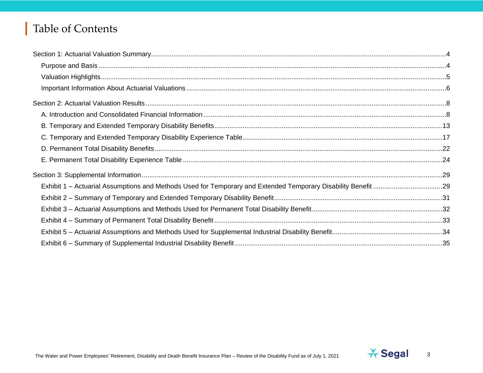# Table of Contents

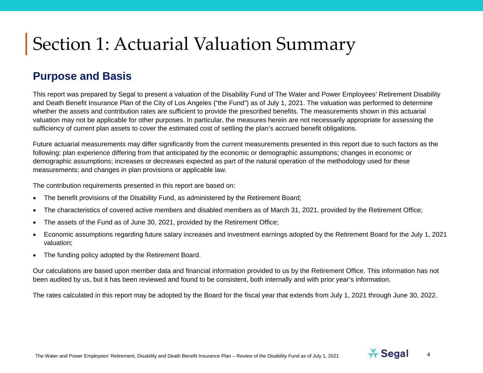#### **Purpose and Basis**

This report was prepared by Segal to present a valuation of the Disability Fund of The Water and Power Employees' Retirement Disability and Death Benefit Insurance Plan of the City of Los Angeles ("the Fund") as of July 1, 2021. The valuation was performed to determine whether the assets and contribution rates are sufficient to provide the prescribed benefits. The measurements shown in this actuarial valuation may not be applicable for other purposes. In particular, the measures herein are not necessarily appropriate for assessing the sufficiency of current plan assets to cover the estimated cost of settling the plan's accrued benefit obligations.

Future actuarial measurements may differ significantly from the current measurements presented in this report due to such factors as the following: plan experience differing from that anticipated by the economic or demographic assumptions; changes in economic or demographic assumptions; increases or decreases expected as part of the natural operation of the methodology used for these measurements; and changes in plan provisions or applicable law.

The contribution requirements presented in this report are based on:

- The benefit provisions of the Disability Fund, as administered by the Retirement Board;
- The characteristics of covered active members and disabled members as of March 31, 2021, provided by the Retirement Office;
- The assets of the Fund as of June 30, 2021, provided by the Retirement Office;
- Economic assumptions regarding future salary increases and investment earnings adopted by the Retirement Board for the July 1, 2021 valuation;
- The funding policy adopted by the Retirement Board.

Our calculations are based upon member data and financial information provided to us by the Retirement Office. This information has not been audited by us, but it has been reviewed and found to be consistent, both internally and with prior year's information.

The rates calculated in this report may be adopted by the Board for the fiscal year that extends from July 1, 2021 through June 30, 2022.

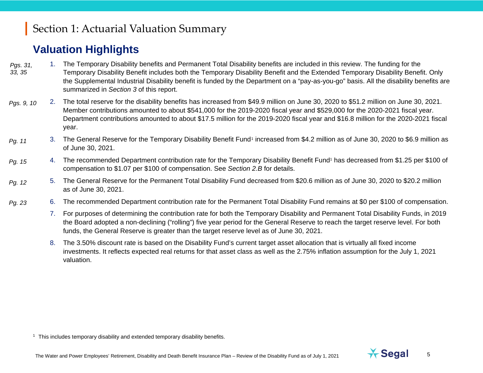### <span id="page-4-0"></span>**Valuation Highlights**

- 1. The Temporary Disability benefits and Permanent Total Disability benefits are included in this review. The funding for the Temporary Disability Benefit includes both the Temporary Disability Benefit and the Extended Temporary Disability Benefit. Only the Supplemental Industrial Disability benefit is funded by the Department on a "pay-as-you-go" basis. All the disability benefits are summarized in *Section 3* of this report. *Pgs. 31, 33, 35*
- 2. The total reserve for the disability benefits has increased from \$49.9 million on June 30, 2020 to \$51.2 million on June 30, 2021. Member contributions amounted to about \$541,000 for the 2019-2020 fiscal year and \$529,000 for the 2020-2021 fiscal year. Department contributions amounted to about \$17.5 million for the 2019-2020 fiscal year and \$16.8 million for the 2020-2021 fiscal year. *Pgs. 9, 10*
- 3. The General Reserve for the Temporary Disability Benefit Fund<sup>[1](#page-4-0)</sup> increased from \$4.2 million as of June 30, 2020 to \$6.9 million as of June 30, 2021. *Pg. 11*
- 4. The recommended Department contribution rate for the Temporary Disability Benefit Fund<sup>1</sup> has decreased from \$1.25 per \$100 of compensation to \$1.07 per \$100 of compensation. See *Section 2.B* for details. *Pg. [15](#page-14-0)*
- 5. The General Reserve for the Permanent Total Disability Fund decreased from \$20.6 million as of June 30, 2020 to \$20.2 million as of June 30, 2021. *Pg. 12*
- 6. The recommended Department contribution rate for the Permanent Total Disability Fund remains at \$0 per \$100 of compensation. *Pg. [23](#page-22-0)*
	- 7. For purposes of determining the contribution rate for both the Temporary Disability and Permanent Total Disability Funds, in 2019 the Board adopted a non-declining ("rolling") five year period for the General Reserve to reach the target reserve level. For both funds, the General Reserve is greater than the target reserve level as of June 30, 2021.
	- 8. The 3.50% discount rate is based on the Disability Fund's current target asset allocation that is virtually all fixed income investments. It reflects expected real returns for that asset class as well as the 2.75% inflation assumption for the July 1, 2021 valuation.

 $1$  This includes temporary disability and extended temporary disability benefits.

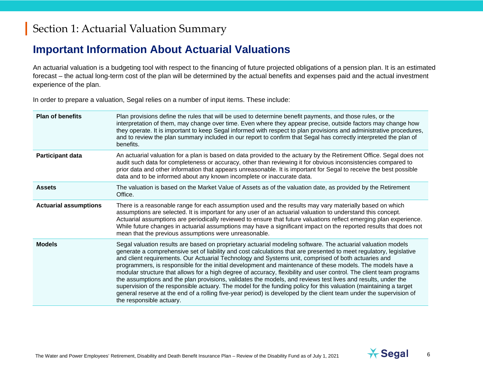#### **Important Information About Actuarial Valuations**

An actuarial valuation is a budgeting tool with respect to the financing of future projected obligations of a pension plan. It is an estimated forecast – the actual long-term cost of the plan will be determined by the actual benefits and expenses paid and the actual investment experience of the plan.

In order to prepare a valuation, Segal relies on a number of input items. These include:

| <b>Plan of benefits</b>      | Plan provisions define the rules that will be used to determine benefit payments, and those rules, or the<br>interpretation of them, may change over time. Even where they appear precise, outside factors may change how<br>they operate. It is important to keep Segal informed with respect to plan provisions and administrative procedures,<br>and to review the plan summary included in our report to confirm that Segal has correctly interpreted the plan of<br>benefits.                                                                                                                                                                                                                                                                                                                                                                                                                                                                                    |
|------------------------------|-----------------------------------------------------------------------------------------------------------------------------------------------------------------------------------------------------------------------------------------------------------------------------------------------------------------------------------------------------------------------------------------------------------------------------------------------------------------------------------------------------------------------------------------------------------------------------------------------------------------------------------------------------------------------------------------------------------------------------------------------------------------------------------------------------------------------------------------------------------------------------------------------------------------------------------------------------------------------|
| Participant data             | An actuarial valuation for a plan is based on data provided to the actuary by the Retirement Office. Segal does not<br>audit such data for completeness or accuracy, other than reviewing it for obvious inconsistencies compared to<br>prior data and other information that appears unreasonable. It is important for Segal to receive the best possible<br>data and to be informed about any known incomplete or inaccurate data.                                                                                                                                                                                                                                                                                                                                                                                                                                                                                                                                  |
| <b>Assets</b>                | The valuation is based on the Market Value of Assets as of the valuation date, as provided by the Retirement<br>Office.                                                                                                                                                                                                                                                                                                                                                                                                                                                                                                                                                                                                                                                                                                                                                                                                                                               |
| <b>Actuarial assumptions</b> | There is a reasonable range for each assumption used and the results may vary materially based on which<br>assumptions are selected. It is important for any user of an actuarial valuation to understand this concept.<br>Actuarial assumptions are periodically reviewed to ensure that future valuations reflect emerging plan experience.<br>While future changes in actuarial assumptions may have a significant impact on the reported results that does not<br>mean that the previous assumptions were unreasonable.                                                                                                                                                                                                                                                                                                                                                                                                                                           |
| <b>Models</b>                | Segal valuation results are based on proprietary actuarial modeling software. The actuarial valuation models<br>generate a comprehensive set of liability and cost calculations that are presented to meet regulatory, legislative<br>and client requirements. Our Actuarial Technology and Systems unit, comprised of both actuaries and<br>programmers, is responsible for the initial development and maintenance of these models. The models have a<br>modular structure that allows for a high degree of accuracy, flexibility and user control. The client team programs<br>the assumptions and the plan provisions, validates the models, and reviews test lives and results, under the<br>supervision of the responsible actuary. The model for the funding policy for this valuation (maintaining a target<br>general reserve at the end of a rolling five-year period) is developed by the client team under the supervision of<br>the responsible actuary. |

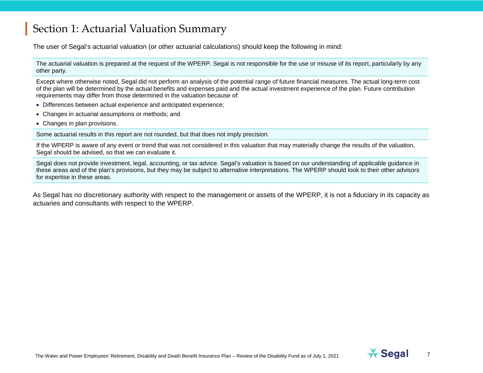The user of Segal's actuarial valuation (or other actuarial calculations) should keep the following in mind:

The actuarial valuation is prepared at the request of the WPERP. Segal is not responsible for the use or misuse of its report, particularly by any other party.

Except where otherwise noted, Segal did not perform an analysis of the potential range of future financial measures. The actual long-term cost of the plan will be determined by the actual benefits and expenses paid and the actual investment experience of the plan. Future contribution requirements may differ from those determined in the valuation because of:

- Differences between actual experience and anticipated experience;
- Changes in actuarial assumptions or methods; and
- Changes in plan provisions.

Some actuarial results in this report are not rounded, but that does not imply precision.

If the WPERP is aware of any event or trend that was not considered in this valuation that may materially change the results of the valuation, Segal should be advised, so that we can evaluate it.

Segal does not provide investment, legal, accounting, or tax advice. Segal's valuation is based on our understanding of applicable guidance in these areas and of the plan's provisions, but they may be subject to alternative interpretations. The WPERP should look to their other advisors for expertise in these areas.

As Segal has no discretionary authority with respect to the management or assets of the WPERP, it is not a fiduciary in its capacity as actuaries and consultants with respect to the WPERP.



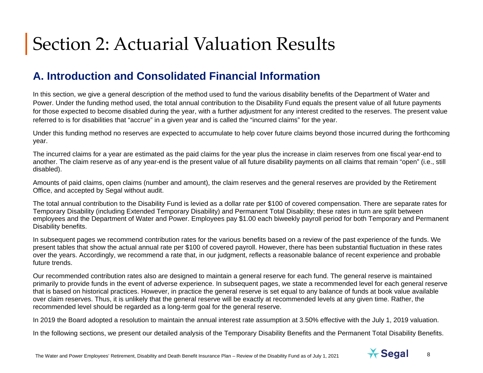## **A. Introduction and Consolidated Financial Information**

In this section, we give a general description of the method used to fund the various disability benefits of the Department of Water and Power. Under the funding method used, the total annual contribution to the Disability Fund equals the present value of all future payments for those expected to become disabled during the year, with a further adjustment for any interest credited to the reserves. The present value referred to is for disabilities that "accrue" in a given year and is called the "incurred claims" for the year.

Under this funding method no reserves are expected to accumulate to help cover future claims beyond those incurred during the forthcoming year.

The incurred claims for a year are estimated as the paid claims for the year plus the increase in claim reserves from one fiscal year-end to another. The claim reserve as of any year-end is the present value of all future disability payments on all claims that remain "open" (i.e., still disabled).

Amounts of paid claims, open claims (number and amount), the claim reserves and the general reserves are provided by the Retirement Office, and accepted by Segal without audit.

The total annual contribution to the Disability Fund is levied as a dollar rate per \$100 of covered compensation. There are separate rates for Temporary Disability (including Extended Temporary Disability) and Permanent Total Disability; these rates in turn are split between employees and the Department of Water and Power. Employees pay \$1.00 each biweekly payroll period for both Temporary and Permanent Disability benefits.

In subsequent pages we recommend contribution rates for the various benefits based on a review of the past experience of the funds. We present tables that show the actual annual rate per \$100 of covered payroll. However, there has been substantial fluctuation in these rates over the years. Accordingly, we recommend a rate that, in our judgment, reflects a reasonable balance of recent experience and probable future trends.

Our recommended contribution rates also are designed to maintain a general reserve for each fund. The general reserve is maintained primarily to provide funds in the event of adverse experience. In subsequent pages, we state a recommended level for each general reserve that is based on historical practices. However, in practice the general reserve is set equal to any balance of funds at book value available over claim reserves. Thus, it is unlikely that the general reserve will be exactly at recommended levels at any given time. Rather, the recommended level should be regarded as a long-term goal for the general reserve.

In 2019 the Board adopted a resolution to maintain the annual interest rate assumption at 3.50% effective with the July 1, 2019 valuation.

In the following sections, we present our detailed analysis of the Temporary Disability Benefits and the Permanent Total Disability Benefits.

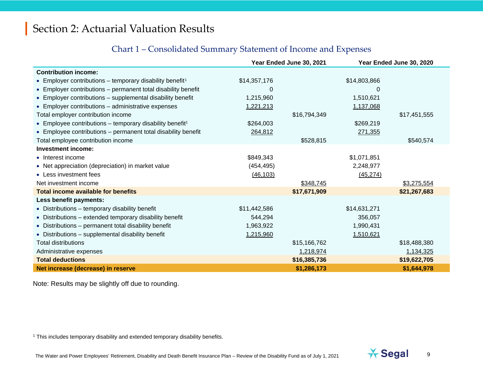#### <span id="page-8-0"></span>Chart 1 – Consolidated Summary Statement of Income and Expenses

|                                                                      |              | Year Ended June 30, 2021 | Year Ended June 30, 2020 |              |
|----------------------------------------------------------------------|--------------|--------------------------|--------------------------|--------------|
| <b>Contribution income:</b>                                          |              |                          |                          |              |
| • Employer contributions – temporary disability benefit <sup>1</sup> | \$14,357,176 |                          | \$14,803,866             |              |
| • Employer contributions – permanent total disability benefit        | 0            |                          | O                        |              |
| • Employer contributions - supplemental disability benefit           | 1,215,960    |                          | 1,510,621                |              |
| • Employer contributions - administrative expenses                   | 1,221,213    |                          | 1,137,068                |              |
| Total employer contribution income                                   |              | \$16,794,349             |                          | \$17,451,555 |
| • Employee contributions - temporary disability benefit <sup>1</sup> | \$264,003    |                          | \$269,219                |              |
| • Employee contributions – permanent total disability benefit        | 264,812      |                          | 271,355                  |              |
| Total employee contribution income                                   |              | \$528,815                |                          | \$540,574    |
| <b>Investment income:</b>                                            |              |                          |                          |              |
| • Interest income                                                    | \$849,343    |                          | \$1,071,851              |              |
| • Net appreciation (depreciation) in market value                    | (454, 495)   |                          | 2,248,977                |              |
| • Less investment fees                                               | (46, 103)    |                          | (45, 274)                |              |
| Net investment income                                                |              | \$348,745                |                          | \$3,275,554  |
| <b>Total income available for benefits</b>                           |              | \$17,671,909             |                          | \$21,267,683 |
| Less benefit payments:                                               |              |                          |                          |              |
| • Distributions - temporary disability benefit                       | \$11,442,586 |                          | \$14,631,271             |              |
| • Distributions – extended temporary disability benefit              | 544,294      |                          | 356,057                  |              |
| • Distributions - permanent total disability benefit                 | 1,963,922    |                          | 1,990,431                |              |
| • Distributions - supplemental disability benefit                    | 1,215,960    |                          | 1,510,621                |              |
| <b>Total distributions</b>                                           |              | \$15,166,762             |                          | \$18,488,380 |
| Administrative expenses                                              |              | 1,218,974                |                          | 1,134,325    |
| <b>Total deductions</b>                                              |              | \$16,385,736             |                          | \$19,622,705 |
| Net increase (decrease) in reserve                                   |              | \$1,286,173              |                          | \$1,644,978  |

Note: Results may be slightly off due to rounding.

<sup>1</sup> This includes temporary disability and extended temporary disability benefits.

The Water and Power Employees' Retirement, Disability and Death Benefit Insurance Plan – Review of the Disability Fund as of July 1, 2021 **19** Segal 9

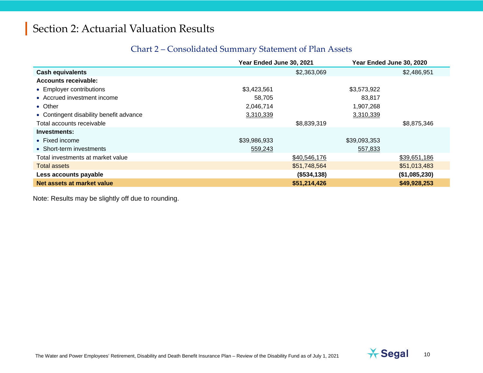#### Chart 2 – Consolidated Summary Statement of Plan Assets

|                                         | Year Ended June 30, 2021 |              | Year Ended June 30, 2020 |               |
|-----------------------------------------|--------------------------|--------------|--------------------------|---------------|
| <b>Cash equivalents</b>                 |                          | \$2,363,069  |                          | \$2,486,951   |
| Accounts receivable:                    |                          |              |                          |               |
| • Employer contributions                | \$3,423,561              |              | \$3,573,922              |               |
| • Accrued investment income             | 58,705                   |              | 83,817                   |               |
| • Other                                 | 2,046,714                |              | 1,907,268                |               |
| • Contingent disability benefit advance | 3,310,339                |              | 3,310,339                |               |
| Total accounts receivable               |                          | \$8,839,319  |                          | \$8,875,346   |
| Investments:                            |                          |              |                          |               |
| $\bullet$ Fixed income                  | \$39,986,933             |              | \$39,093,353             |               |
| • Short-term investments                | 559,243                  |              | 557,833                  |               |
| Total investments at market value       |                          | \$40,546,176 |                          | \$39,651,186  |
| Total assets                            |                          | \$51,748,564 |                          | \$51,013,483  |
| Less accounts payable                   |                          | (\$534,138)  |                          | (\$1,085,230) |
| Net assets at market value              |                          | \$51,214,426 |                          | \$49,928,253  |

Note: Results may be slightly off due to rounding.

The Water and Power Employees' Retirement, Disability and Death Benefit Insurance Plan – Review of the Disability Fund as of July 1, 2021 **10** Segal 10

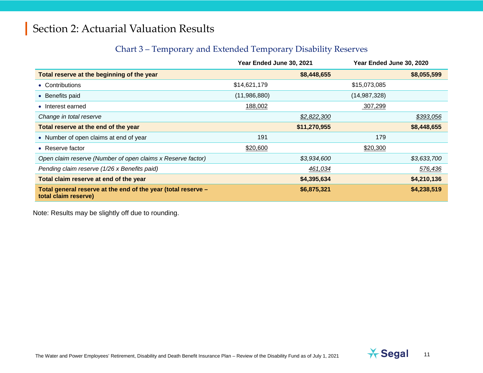#### Chart 3 – Temporary and Extended Temporary Disability Reserves

|                                                                                       | Year Ended June 30, 2021 |              | Year Ended June 30, 2020 |             |
|---------------------------------------------------------------------------------------|--------------------------|--------------|--------------------------|-------------|
| Total reserve at the beginning of the year                                            |                          | \$8,448,655  |                          | \$8,055,599 |
| • Contributions                                                                       | \$14,621,179             |              | \$15,073,085             |             |
| • Benefits paid                                                                       | (11,986,880)             |              | (14, 987, 328)           |             |
| • Interest earned                                                                     | 188,002                  |              | 307,299                  |             |
| Change in total reserve                                                               |                          | \$2,822,300  |                          | \$393,056   |
| Total reserve at the end of the year                                                  |                          | \$11,270,955 |                          | \$8,448,655 |
| • Number of open claims at end of year                                                | 191                      |              | 179                      |             |
| • Reserve factor                                                                      | \$20,600                 |              | \$20,300                 |             |
| Open claim reserve (Number of open claims x Reserve factor)                           |                          | \$3,934,600  |                          | \$3,633,700 |
| Pending claim reserve (1/26 x Benefits paid)                                          |                          | 461,034      |                          | 576,436     |
| Total claim reserve at end of the year                                                |                          | \$4,395,634  |                          | \$4,210,136 |
| Total general reserve at the end of the year (total reserve -<br>total claim reserve) |                          | \$6,875,321  |                          | \$4,238,519 |

Note: Results may be slightly off due to rounding.

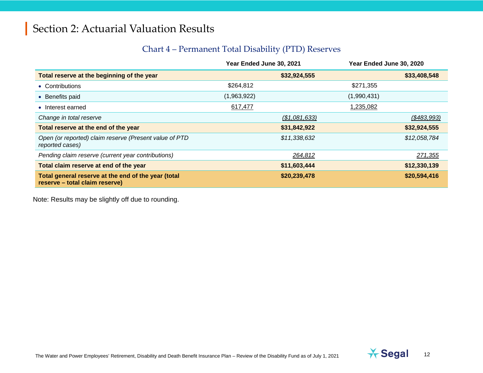#### Chart 4 – Permanent Total Disability (PTD) Reserves

|                                                                                       | Year Ended June 30, 2021 | Year Ended June 30, 2020 |  |
|---------------------------------------------------------------------------------------|--------------------------|--------------------------|--|
| Total reserve at the beginning of the year                                            | \$32,924,555             | \$33,408,548             |  |
| • Contributions                                                                       | \$264,812                | \$271,355                |  |
| • Benefits paid                                                                       | (1,963,922)              | (1,990,431)              |  |
| • Interest earned                                                                     | 617,477                  | 1,235,082                |  |
| Change in total reserve                                                               | (\$1,081,633)            | (\$483,993)              |  |
| Total reserve at the end of the year                                                  | \$31,842,922             | \$32,924,555             |  |
| Open (or reported) claim reserve (Present value of PTD<br>reported cases)             | \$11,338,632             | \$12,058,784             |  |
| Pending claim reserve (current year contributions)                                    | 264,812                  | 271,355                  |  |
| Total claim reserve at end of the year                                                | \$11,603,444             | \$12,330,139             |  |
| Total general reserve at the end of the year (total<br>reserve – total claim reserve) | \$20,239,478             | \$20,594,416             |  |

Note: Results may be slightly off due to rounding.

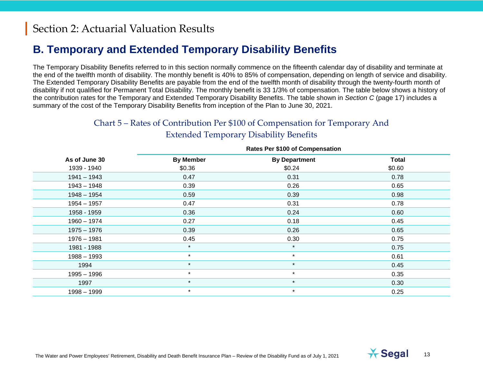### **B. Temporary and Extended Temporary Disability Benefits**

The Temporary Disability Benefits referred to in this section normally commence on the fifteenth calendar day of disability and terminate at the end of the twelfth month of disability. The monthly benefit is 40% to 85% of compensation, depending on length of service and disability. The Extended Temporary Disability Benefits are payable from the end of the twelfth month of disability through the twenty-fourth month of disability if not qualified for Permanent Total Disability. The monthly benefit is 33 1/3% of compensation. The table below shows a history of the contribution rates for the Temporary and Extended Temporary Disability Benefits. The table shown in *Section C* (page 17) includes a summary of the cost of the Temporary Disability Benefits from inception of the Plan to June 30, 2021.

#### Chart 5 – Rates of Contribution Per \$100 of Compensation for Temporary And Extended Temporary Disability Benefits

|               | <b>NAICS FEI DIVU UI COMPENSATION</b> |                      |              |  |  |
|---------------|---------------------------------------|----------------------|--------------|--|--|
| As of June 30 | <b>By Member</b>                      | <b>By Department</b> | <b>Total</b> |  |  |
| 1939 - 1940   | \$0.36                                | \$0.24               | \$0.60       |  |  |
| $1941 - 1943$ | 0.47                                  | 0.31                 | 0.78         |  |  |
| $1943 - 1948$ | 0.39                                  | 0.26                 | 0.65         |  |  |
| $1948 - 1954$ | 0.59                                  | 0.39                 | 0.98         |  |  |
| $1954 - 1957$ | 0.47                                  | 0.31                 | 0.78         |  |  |
| 1958 - 1959   | 0.36                                  | 0.24                 | 0.60         |  |  |
| $1960 - 1974$ | 0.27                                  | 0.18                 | 0.45         |  |  |
| $1975 - 1976$ | 0.39                                  | 0.26                 | 0.65         |  |  |
| $1976 - 1981$ | 0.45                                  | 0.30                 | 0.75         |  |  |
| 1981 - 1988   | $\star$                               | $\star$              | 0.75         |  |  |
| $1988 - 1993$ | $\star$                               | $\star$              | 0.61         |  |  |
| 1994          | $\star$                               | $\star$              | 0.45         |  |  |
| $1995 - 1996$ | $\star$                               | $\star$              | 0.35         |  |  |
| 1997          | $\star$                               | $\star$              | 0.30         |  |  |
| $1998 - 1999$ | $\star$                               | $\star$              | 0.25         |  |  |
|               |                                       |                      |              |  |  |

#### **Rates Per \$100 of Compensation**

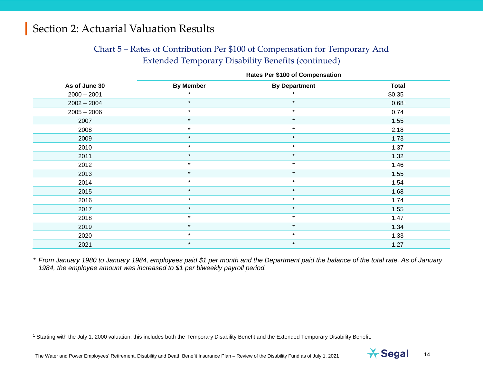#### <span id="page-13-0"></span>Chart 5 – Rates of Contribution Per \$100 of Compensation for Temporary And Extended Temporary Disability Benefits (continued)

|               |                  | <b>Rates Per \$100 of Compensation</b> |              |  |  |  |  |
|---------------|------------------|----------------------------------------|--------------|--|--|--|--|
| As of June 30 | <b>By Member</b> | <b>By Department</b>                   | <b>Total</b> |  |  |  |  |
| $2000 - 2001$ |                  |                                        | \$0.35       |  |  |  |  |
| $2002 - 2004$ | $\star$          | $\star$                                | 0.681        |  |  |  |  |
| $2005 - 2006$ | $\star$          | $\star$                                | 0.74         |  |  |  |  |
| 2007          | $\star$          | $\star$                                | 1.55         |  |  |  |  |
| 2008          | $\star$          | $\star$                                | 2.18         |  |  |  |  |
| 2009          | $\star$          | $\star$                                | 1.73         |  |  |  |  |
| 2010          | $\star$          | $\star$                                | 1.37         |  |  |  |  |
| 2011          | $\star$          | $\star$                                | 1.32         |  |  |  |  |
| 2012          | $\star$          | $\star$                                | 1.46         |  |  |  |  |
| 2013          | $\star$          | $\star$                                | 1.55         |  |  |  |  |
| 2014          | $\star$          | $\star$                                | 1.54         |  |  |  |  |
| 2015          | $\star$          | $\star$                                | 1.68         |  |  |  |  |
| 2016          | $\star$          | $\star$                                | 1.74         |  |  |  |  |
| 2017          | $\star$          | $\star$                                | 1.55         |  |  |  |  |
| 2018          | $\star$          | $\star$                                | 1.47         |  |  |  |  |
| 2019          | $\star$          | $\star$                                | 1.34         |  |  |  |  |
| 2020          | $\star$          | $\star$                                | 1.33         |  |  |  |  |
| 2021          | $\star$          | $\star$                                | 1.27         |  |  |  |  |

*\* From January 1980 to January 1984, employees paid \$1 per month and the Department paid the balance of the total rate. As of January 1984, the employee amount was increased to \$1 per biweekly payroll period.*

<sup>1</sup> Starting with the July 1, 2000 valuation, this includes both the Temporary Disability Benefit and the Extended Temporary Disability Benefit.

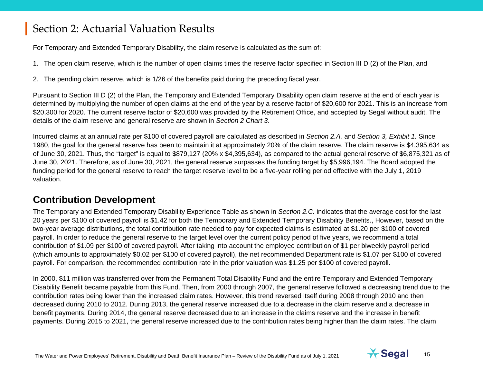<span id="page-14-0"></span>For Temporary and Extended Temporary Disability, the claim reserve is calculated as the sum of:

- 1. The open claim reserve, which is the number of open claims times the reserve factor specified in Section III D (2) of the Plan, and
- 2. The pending claim reserve, which is 1/26 of the benefits paid during the preceding fiscal year.

Pursuant to Section III D (2) of the Plan, the Temporary and Extended Temporary Disability open claim reserve at the end of each year is determined by multiplying the number of open claims at the end of the year by a reserve factor of \$20,600 for 2021. This is an increase from \$20,300 for 2020. The current reserve factor of \$20,600 was provided by the Retirement Office, and accepted by Segal without audit. The details of the claim reserve and general reserve are shown in *Section 2 Chart 3*.

Incurred claims at an annual rate per \$100 of covered payroll are calculated as described in *Section 2.A.* and *Section 3, Exhibit 1.* Since 1980, the goal for the general reserve has been to maintain it at approximately 20% of the claim reserve. The claim reserve is \$4,395,634 as of June 30, 2021. Thus, the "target" is equal to \$879,127 (20% x \$4,395,634), as compared to the actual general reserve of \$6,875,321 as of June 30, 2021. Therefore, as of June 30, 2021, the general reserve surpasses the funding target by \$5,996,194. The Board adopted the funding period for the general reserve to reach the target reserve level to be a five-year rolling period effective with the July 1, 2019 valuation.

#### **Contribution Development**

The Temporary and Extended Temporary Disability Experience Table as shown in *Section 2.C.* indicates that the average cost for the last 20 years per \$100 of covered payroll is \$1.42 for both the Temporary and Extended Temporary Disability Benefits., However, based on the two-year average distributions, the total contribution rate needed to pay for expected claims is estimated at \$1.20 per \$100 of covered payroll. In order to reduce the general reserve to the target level over the current policy period of five years, we recommend a total contribution of \$1.09 per \$100 of covered payroll. After taking into account the employee contribution of \$1 per biweekly payroll period (which amounts to approximately \$0.02 per \$100 of covered payroll), the net recommended Department rate is \$1.07 per \$100 of covered payroll. For comparison, the recommended contribution rate in the prior valuation was \$1.25 per \$100 of covered payroll.

In 2000, \$11 million was transferred over from the Permanent Total Disability Fund and the entire Temporary and Extended Temporary Disability Benefit became payable from this Fund. Then, from 2000 through 2007, the general reserve followed a decreasing trend due to the contribution rates being lower than the increased claim rates. However, this trend reversed itself during 2008 through 2010 and then decreased during 2010 to 2012. During 2013, the general reserve increased due to a decrease in the claim reserve and a decrease in benefit payments. During 2014, the general reserve decreased due to an increase in the claims reserve and the increase in benefit payments. During 2015 to 2021, the general reserve increased due to the contribution rates being higher than the claim rates. The claim

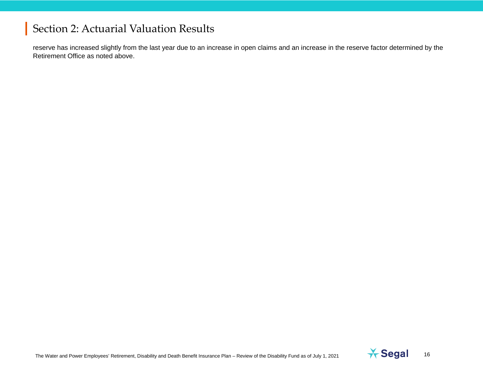reserve has increased slightly from the last year due to an increase in open claims and an increase in the reserve factor determined by the Retirement Office as noted above.

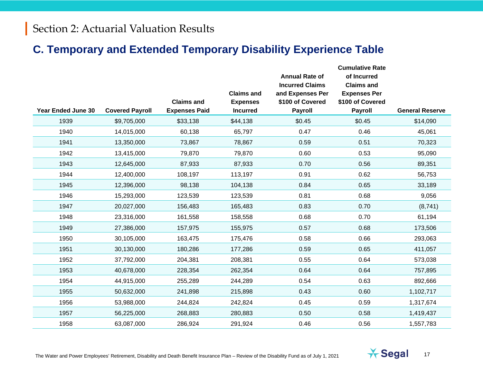### **C. Temporary and Extended Temporary Disability Experience Table**

|                           |                        | <b>Claims and</b>    | <b>Claims and</b><br><b>Expenses</b> | <b>Annual Rate of</b><br><b>Incurred Claims</b><br>and Expenses Per<br>\$100 of Covered | <b>Cumulative Rate</b><br>of Incurred<br><b>Claims and</b><br><b>Expenses Per</b><br>\$100 of Covered |                        |
|---------------------------|------------------------|----------------------|--------------------------------------|-----------------------------------------------------------------------------------------|-------------------------------------------------------------------------------------------------------|------------------------|
| <b>Year Ended June 30</b> | <b>Covered Payroll</b> | <b>Expenses Paid</b> | <b>Incurred</b>                      | <b>Payroll</b>                                                                          | <b>Payroll</b>                                                                                        | <b>General Reserve</b> |
| 1939                      | \$9,705,000            | \$33,138             | \$44,138                             | \$0.45                                                                                  | \$0.45                                                                                                | \$14,090               |
| 1940                      | 14,015,000             | 60,138               | 65,797                               | 0.47                                                                                    | 0.46                                                                                                  | 45,061                 |
| 1941                      | 13,350,000             | 73,867               | 78,867                               | 0.59                                                                                    | 0.51                                                                                                  | 70,323                 |
| 1942                      | 13,415,000             | 79,870               | 79,870                               | 0.60                                                                                    | 0.53                                                                                                  | 95,090                 |
| 1943                      | 12,645,000             | 87,933               | 87,933                               | 0.70                                                                                    | 0.56                                                                                                  | 89,351                 |
| 1944                      | 12,400,000             | 108,197              | 113,197                              | 0.91                                                                                    | 0.62                                                                                                  | 56,753                 |
| 1945                      | 12,396,000             | 98,138               | 104,138                              | 0.84                                                                                    | 0.65                                                                                                  | 33,189                 |
| 1946                      | 15,293,000             | 123,539              | 123,539                              | 0.81                                                                                    | 0.68                                                                                                  | 9,056                  |
| 1947                      | 20,027,000             | 156,483              | 165,483                              | 0.83                                                                                    | 0.70                                                                                                  | (8,741)                |
| 1948                      | 23,316,000             | 161,558              | 158,558                              | 0.68                                                                                    | 0.70                                                                                                  | 61,194                 |
| 1949                      | 27,386,000             | 157,975              | 155,975                              | 0.57                                                                                    | 0.68                                                                                                  | 173,506                |
| 1950                      | 30,105,000             | 163,475              | 175,476                              | 0.58                                                                                    | 0.66                                                                                                  | 293,063                |
| 1951                      | 30,130,000             | 180,286              | 177,286                              | 0.59                                                                                    | 0.65                                                                                                  | 411,057                |
| 1952                      | 37,792,000             | 204,381              | 208,381                              | 0.55                                                                                    | 0.64                                                                                                  | 573,038                |
| 1953                      | 40,678,000             | 228,354              | 262,354                              | 0.64                                                                                    | 0.64                                                                                                  | 757,895                |
| 1954                      | 44,915,000             | 255,289              | 244,289                              | 0.54                                                                                    | 0.63                                                                                                  | 892,666                |
| 1955                      | 50,632,000             | 241,898              | 215,898                              | 0.43                                                                                    | 0.60                                                                                                  | 1,102,717              |
| 1956                      | 53,988,000             | 244,824              | 242,824                              | 0.45                                                                                    | 0.59                                                                                                  | 1,317,674              |
| 1957                      | 56,225,000             | 268,883              | 280,883                              | 0.50                                                                                    | 0.58                                                                                                  | 1,419,437              |
| 1958                      | 63,087,000             | 286,924              | 291,924                              | 0.46                                                                                    | 0.56                                                                                                  | 1,557,783              |

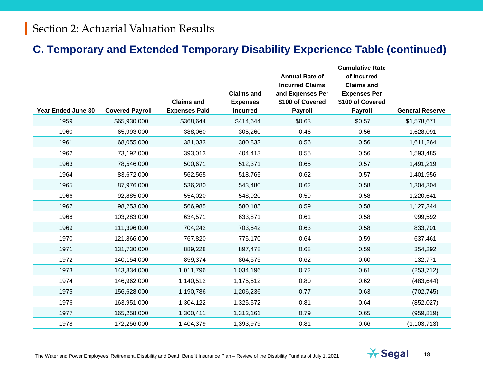#### **C. Temporary and Extended Temporary Disability Experience Table (continued)**

|                           |                        | <b>Claims and</b>    | <b>Claims and</b><br><b>Expenses</b> | <b>Annual Rate of</b><br><b>Incurred Claims</b><br>and Expenses Per<br>\$100 of Covered | <b>Cumulative Rate</b><br>of Incurred<br><b>Claims and</b><br><b>Expenses Per</b><br>\$100 of Covered |                        |
|---------------------------|------------------------|----------------------|--------------------------------------|-----------------------------------------------------------------------------------------|-------------------------------------------------------------------------------------------------------|------------------------|
| <b>Year Ended June 30</b> | <b>Covered Payroll</b> | <b>Expenses Paid</b> | <b>Incurred</b>                      | <b>Payroll</b>                                                                          | Payroll                                                                                               | <b>General Reserve</b> |
| 1959                      | \$65,930,000           | \$368,644            | \$414,644                            | \$0.63                                                                                  | \$0.57                                                                                                | \$1,578,671            |
| 1960                      | 65,993,000             | 388,060              | 305,260                              | 0.46                                                                                    | 0.56                                                                                                  | 1,628,091              |
| 1961                      | 68,055,000             | 381,033              | 380,833                              | 0.56                                                                                    | 0.56                                                                                                  | 1,611,264              |
| 1962                      | 73,192,000             | 393,013              | 404,413                              | 0.55                                                                                    | 0.56                                                                                                  | 1,593,485              |
| 1963                      | 78,546,000             | 500,671              | 512,371                              | 0.65                                                                                    | 0.57                                                                                                  | 1,491,219              |
| 1964                      | 83,672,000             | 562,565              | 518,765                              | 0.62                                                                                    | 0.57                                                                                                  | 1,401,956              |
| 1965                      | 87,976,000             | 536,280              | 543,480                              | 0.62                                                                                    | 0.58                                                                                                  | 1,304,304              |
| 1966                      | 92,885,000             | 554,020              | 548,920                              | 0.59                                                                                    | 0.58                                                                                                  | 1,220,641              |
| 1967                      | 98,253,000             | 566,985              | 580,185                              | 0.59                                                                                    | 0.58                                                                                                  | 1,127,344              |
| 1968                      | 103,283,000            | 634,571              | 633,871                              | 0.61                                                                                    | 0.58                                                                                                  | 999,592                |
| 1969                      | 111,396,000            | 704,242              | 703,542                              | 0.63                                                                                    | 0.58                                                                                                  | 833,701                |
| 1970                      | 121,866,000            | 767,820              | 775,170                              | 0.64                                                                                    | 0.59                                                                                                  | 637,461                |
| 1971                      | 131,730,000            | 889,228              | 897,478                              | 0.68                                                                                    | 0.59                                                                                                  | 354,292                |
| 1972                      | 140,154,000            | 859,374              | 864,575                              | 0.62                                                                                    | 0.60                                                                                                  | 132,771                |
| 1973                      | 143,834,000            | 1,011,796            | 1,034,196                            | 0.72                                                                                    | 0.61                                                                                                  | (253, 712)             |
| 1974                      | 146,962,000            | 1,140,512            | 1,175,512                            | 0.80                                                                                    | 0.62                                                                                                  | (483, 644)             |
| 1975                      | 156,628,000            | 1,190,786            | 1,206,236                            | 0.77                                                                                    | 0.63                                                                                                  | (702, 745)             |
| 1976                      | 163,951,000            | 1,304,122            | 1,325,572                            | 0.81                                                                                    | 0.64                                                                                                  | (852, 027)             |
| 1977                      | 165,258,000            | 1,300,411            | 1,312,161                            | 0.79                                                                                    | 0.65                                                                                                  | (959, 819)             |
| 1978                      | 172,256,000            | 1,404,379            | 1,393,979                            | 0.81                                                                                    | 0.66                                                                                                  | (1, 103, 713)          |

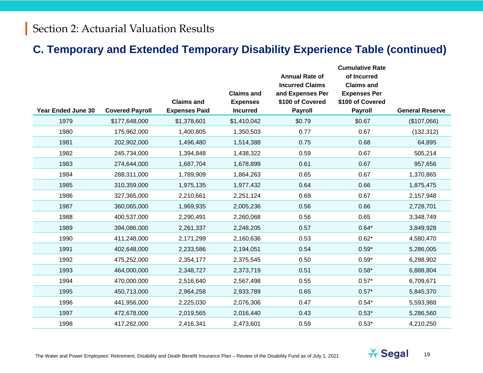#### **C. Temporary and Extended Temporary Disability Experience Table (continued)**

|                           |                        |                      |                                      | <b>Annual Rate of</b><br><b>Incurred Claims</b> | <b>Cumulative Rate</b><br>of Incurred<br><b>Claims and</b> |                        |
|---------------------------|------------------------|----------------------|--------------------------------------|-------------------------------------------------|------------------------------------------------------------|------------------------|
|                           |                        | <b>Claims and</b>    | <b>Claims and</b><br><b>Expenses</b> | and Expenses Per<br>\$100 of Covered            | <b>Expenses Per</b><br>\$100 of Covered                    |                        |
| <b>Year Ended June 30</b> | <b>Covered Payroll</b> | <b>Expenses Paid</b> | <b>Incurred</b>                      | <b>Payroll</b>                                  | <b>Payroll</b>                                             | <b>General Reserve</b> |
| 1979                      | \$177,648,000          | \$1,378,601          | \$1,410,042                          | \$0.79                                          | \$0.67                                                     | (\$107,066)            |
| 1980                      | 175,962,000            | 1,400,805            | 1,350,503                            | 0.77                                            | 0.67                                                       | (132, 312)             |
| 1981                      | 202,902,000            | 1,496,480            | 1,514,388                            | 0.75                                            | 0.68                                                       | 64,895                 |
| 1982                      | 245,734,000            | 1,394,848            | 1,438,322                            | 0.59                                            | 0.67                                                       | 505,214                |
| 1983                      | 274,644,000            | 1,687,704            | 1,678,899                            | 0.61                                            | 0.67                                                       | 957,656                |
| 1984                      | 288,311,000            | 1,789,909            | 1,864,263                            | 0.65                                            | 0.67                                                       | 1,370,865              |
| 1985                      | 310,359,000            | 1,975,135            | 1,977,432                            | 0.64                                            | 0.66                                                       | 1,875,475              |
| 1986                      | 327,365,000            | 2,210,661            | 2,251,124                            | 0.69                                            | 0.67                                                       | 2,157,948              |
| 1987                      | 360,065,000            | 1,969,935            | 2,005,236                            | 0.56                                            | 0.66                                                       | 2,728,701              |
| 1988                      | 400,537,000            | 2,290,491            | 2,260,068                            | 0.56                                            | 0.65                                                       | 3,348,749              |
| 1989                      | 394,086,000            | 2,261,337            | 2,248,205                            | 0.57                                            | $0.64*$                                                    | 3,849,928              |
| 1990                      | 411,248,000            | 2,171,299            | 2,160,636                            | 0.53                                            | $0.62*$                                                    | 4,580,470              |
| 1991                      | 402,648,000            | 2,233,586            | 2,194,051                            | 0.54                                            | $0.59*$                                                    | 5,286,005              |
| 1992                      | 475,252,000            | 2,354,177            | 2,375,545                            | 0.50                                            | $0.59*$                                                    | 6,298,902              |
| 1993                      | 464,000,000            | 2,348,727            | 2,373,719                            | 0.51                                            | $0.58*$                                                    | 6,888,804              |
| 1994                      | 470,000,000            | 2,516,640            | 2,567,498                            | 0.55                                            | $0.57*$                                                    | 6,709,671              |
| 1995                      | 450,713,000            | 2,964,258            | 2,933,789                            | 0.65                                            | $0.57*$                                                    | 5,845,370              |
| 1996                      | 441,956,000            | 2,225,030            | 2,076,306                            | 0.47                                            | $0.54*$                                                    | 5,593,988              |
| 1997                      | 472,678,000            | 2,019,565            | 2,016,440                            | 0.43                                            | $0.53*$                                                    | 5,286,560              |
| 1998                      | 417,262,000            | 2,416,341            | 2,473,601                            | 0.59                                            | $0.53*$                                                    | 4,210,250              |

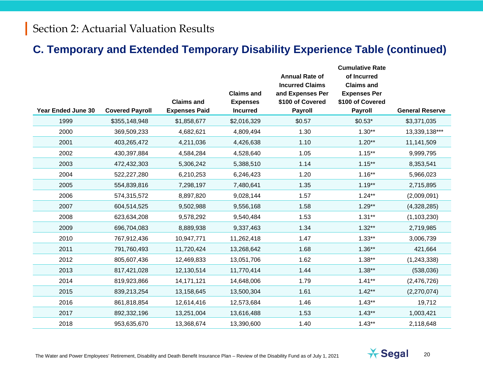#### **C. Temporary and Extended Temporary Disability Experience Table (continued)**

| <b>Year Ended June 30</b> | <b>Covered Payroll</b> | <b>Claims and</b><br><b>Expenses Paid</b> | <b>Claims and</b><br><b>Expenses</b><br><b>Incurred</b> | <b>Annual Rate of</b><br><b>Incurred Claims</b><br>and Expenses Per<br>\$100 of Covered<br><b>Payroll</b> | <b>Cumulative Rate</b><br>of Incurred<br><b>Claims and</b><br><b>Expenses Per</b><br>\$100 of Covered<br>Payroll | <b>General Reserve</b> |
|---------------------------|------------------------|-------------------------------------------|---------------------------------------------------------|-----------------------------------------------------------------------------------------------------------|------------------------------------------------------------------------------------------------------------------|------------------------|
| 1999                      | \$355,148,948          | \$1,858,677                               | \$2,016,329                                             | \$0.57                                                                                                    | $$0.53*$                                                                                                         | \$3,371,035            |
| 2000                      | 369,509,233            | 4,682,621                                 | 4,809,494                                               | 1.30                                                                                                      | $1.30**$                                                                                                         | 13,339,138***          |
| 2001                      | 403,265,472            | 4,211,036                                 | 4,426,638                                               | 1.10                                                                                                      | $1.20**$                                                                                                         | 11,141,509             |
| 2002                      | 430,397,884            | 4,584,284                                 | 4,528,640                                               | 1.05                                                                                                      | $1.15***$                                                                                                        | 9,999,795              |
| 2003                      | 472,432,303            | 5,306,242                                 | 5,388,510                                               | 1.14                                                                                                      | $1.15***$                                                                                                        | 8,353,541              |
| 2004                      | 522,227,280            | 6,210,253                                 | 6,246,423                                               | 1.20                                                                                                      | $1.16***$                                                                                                        | 5,966,023              |
| 2005                      | 554,839,816            | 7,298,197                                 | 7,480,641                                               | 1.35                                                                                                      | $1.19**$                                                                                                         | 2,715,895              |
| 2006                      | 574,315,572            | 8,897,820                                 | 9,028,144                                               | 1.57                                                                                                      | $1.24***$                                                                                                        | (2,009,091)            |
| 2007                      | 604,514,525            | 9,502,988                                 | 9,556,168                                               | 1.58                                                                                                      | $1.29**$                                                                                                         | (4,328,285)            |
| 2008                      | 623,634,208            | 9,578,292                                 | 9,540,484                                               | 1.53                                                                                                      | $1.31**$                                                                                                         | (1, 103, 230)          |
| 2009                      | 696,704,083            | 8,889,938                                 | 9,337,463                                               | 1.34                                                                                                      | $1.32**$                                                                                                         | 2,719,985              |
| 2010                      | 767,912,436            | 10,947,771                                | 11,262,418                                              | 1.47                                                                                                      | $1.33**$                                                                                                         | 3,006,739              |
| 2011                      | 791,760,493            | 11,720,424                                | 13,268,642                                              | 1.68                                                                                                      | $1.36**$                                                                                                         | 421,664                |
| 2012                      | 805,607,436            | 12,469,833                                | 13,051,706                                              | 1.62                                                                                                      | $1.38**$                                                                                                         | (1, 243, 338)          |
| 2013                      | 817,421,028            | 12,130,514                                | 11,770,414                                              | 1.44                                                                                                      | $1.38**$                                                                                                         | (538,036)              |
| 2014                      | 819,923,866            | 14, 171, 121                              | 14,648,006                                              | 1.79                                                                                                      | $1.41**$                                                                                                         | (2,476,726)            |
| 2015                      | 839,213,254            | 13,158,645                                | 13,500,304                                              | 1.61                                                                                                      | $1.42**$                                                                                                         | (2,270,074)            |
| 2016                      | 861,818,854            | 12,614,416                                | 12,573,684                                              | 1.46                                                                                                      | $1.43**$                                                                                                         | 19,712                 |
| 2017                      | 892,332,196            | 13,251,004                                | 13,616,488                                              | 1.53                                                                                                      | $1.43**$                                                                                                         | 1,003,421              |
| 2018                      | 953,635,670            | 13,368,674                                | 13,390,600                                              | 1.40                                                                                                      | $1.43**$                                                                                                         | 2,118,648              |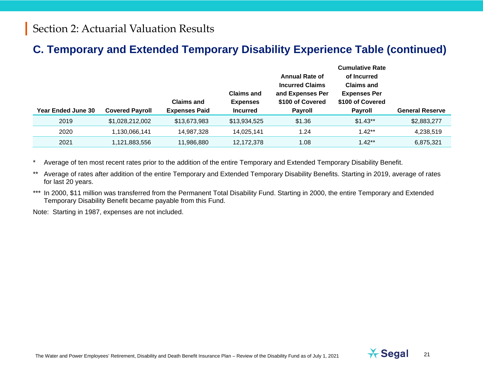### **C. Temporary and Extended Temporary Disability Experience Table (continued)**

|                           |                        | <b>Claims and</b>    | <b>Claims and</b><br><b>Expenses</b> | <b>Annual Rate of</b><br><b>Incurred Claims</b><br>and Expenses Per<br>\$100 of Covered | <b>Cumulative Rate</b><br>of Incurred<br><b>Claims and</b><br><b>Expenses Per</b><br>\$100 of Covered |                        |
|---------------------------|------------------------|----------------------|--------------------------------------|-----------------------------------------------------------------------------------------|-------------------------------------------------------------------------------------------------------|------------------------|
| <b>Year Ended June 30</b> | <b>Covered Payroll</b> | <b>Expenses Paid</b> | <b>Incurred</b>                      | <b>Payroll</b>                                                                          | <b>Payroll</b>                                                                                        | <b>General Reserve</b> |
| 2019                      | \$1,028,212,002        | \$13,673,983         | \$13,934,525                         | \$1.36                                                                                  | $$1.43**$                                                                                             | \$2,883,277            |
| 2020                      | 1,130,066,141          | 14,987,328           | 14,025,141                           | 1.24                                                                                    | $1.42**$                                                                                              | 4,238,519              |
| 2021                      | 1,121,883,556          | 11,986,880           | 12,172,378                           | 1.08                                                                                    | $1.42**$                                                                                              | 6,875,321              |

Average of ten most recent rates prior to the addition of the entire Temporary and Extended Temporary Disability Benefit.

\*\* Average of rates after addition of the entire Temporary and Extended Temporary Disability Benefits. Starting in 2019, average of rates for last 20 years.

\*\*\* In 2000, \$11 million was transferred from the Permanent Total Disability Fund. Starting in 2000, the entire Temporary and Extended Temporary Disability Benefit became payable from this Fund.

Note: Starting in 1987, expenses are not included.

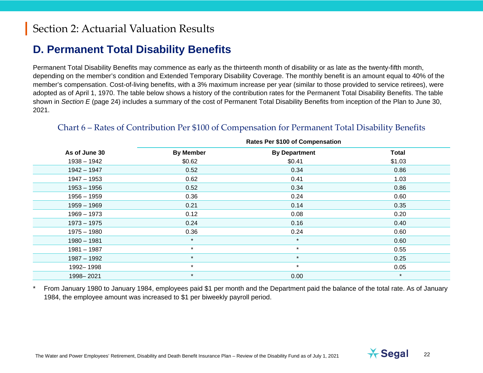### **D. Permanent Total Disability Benefits**

Permanent Total Disability Benefits may commence as early as the thirteenth month of disability or as late as the twenty-fifth month, depending on the member's condition and Extended Temporary Disability Coverage. The monthly benefit is an amount equal to 40% of the member's compensation. Cost-of-living benefits, with a 3% maximum increase per year (similar to those provided to service retirees), were adopted as of April 1, 1970. The table below shows a history of the contribution rates for the Permanent Total Disability Benefits. The table shown in *Section E* (page 24) includes a summary of the cost of Permanent Total Disability Benefits from inception of the Plan to June 30, 2021.

| <b>Rates Per \$100 of Compensation</b> |                  |                      |              |  |
|----------------------------------------|------------------|----------------------|--------------|--|
| As of June 30                          | <b>By Member</b> | <b>By Department</b> | <b>Total</b> |  |
| $1938 - 1942$                          | \$0.62           | \$0.41               | \$1.03       |  |
| $1942 - 1947$                          | 0.52             | 0.34                 | 0.86         |  |
| $1947 - 1953$                          | 0.62             | 0.41                 | 1.03         |  |
| $1953 - 1956$                          | 0.52             | 0.34                 | 0.86         |  |
| $1956 - 1959$                          | 0.36             | 0.24                 | 0.60         |  |
| $1959 - 1969$                          | 0.21             | 0.14                 | 0.35         |  |
| $1969 - 1973$                          | 0.12             | 0.08                 | 0.20         |  |
| $1973 - 1975$                          | 0.24             | 0.16                 | 0.40         |  |
| $1975 - 1980$                          | 0.36             | 0.24                 | 0.60         |  |
| $1980 - 1981$                          | $\star$          | $\star$              | 0.60         |  |
| $1981 - 1987$                          | $\star$          | $\star$              | 0.55         |  |
| $1987 - 1992$                          | $\star$          | $\star$              | 0.25         |  |
| 1992-1998                              | $\star$          | $\star$              | 0.05         |  |
| 1998-2021                              | $\star$          | 0.00                 | $\star$      |  |
|                                        |                  |                      |              |  |

#### Chart 6 – Rates of Contribution Per \$100 of Compensation for Permanent Total Disability Benefits

From January 1980 to January 1984, employees paid \$1 per month and the Department paid the balance of the total rate. As of January 1984, the employee amount was increased to \$1 per biweekly payroll period.

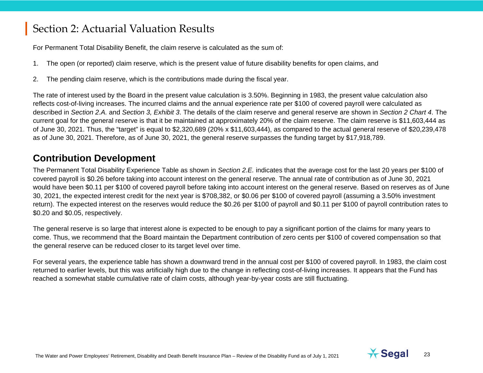For Permanent Total Disability Benefit, the claim reserve is calculated as the sum of:

- 1. The open (or reported) claim reserve, which is the present value of future disability benefits for open claims, and
- <span id="page-22-0"></span>2. The pending claim reserve, which is the contributions made during the fiscal year.

The rate of interest used by the Board in the present value calculation is 3.50%. Beginning in 1983, the present value calculation also reflects cost-of-living increases. The incurred claims and the annual experience rate per \$100 of covered payroll were calculated as described in *Section 2.A.* and *Section 3, Exhibit 3*. The details of the claim reserve and general reserve are shown in *Section 2 Chart 4*. The current goal for the general reserve is that it be maintained at approximately 20% of the claim reserve. The claim reserve is \$11,603,444 as of June 30, 2021. Thus, the "target" is equal to \$2,320,689 (20% x \$11,603,444), as compared to the actual general reserve of \$20,239,478 as of June 30, 2021. Therefore, as of June 30, 2021, the general reserve surpasses the funding target by \$17,918,789.

#### **Contribution Development**

The Permanent Total Disability Experience Table as shown in *Section 2.E.* indicates that the average cost for the last 20 years per \$100 of covered payroll is \$0.26 before taking into account interest on the general reserve. The annual rate of contribution as of June 30, 2021 would have been \$0.11 per \$100 of covered payroll before taking into account interest on the general reserve. Based on reserves as of June 30, 2021, the expected interest credit for the next year is \$708,382, or \$0.06 per \$100 of covered payroll (assuming a 3.50% investment return). The expected interest on the reserves would reduce the \$0.26 per \$100 of payroll and \$0.11 per \$100 of payroll contribution rates to \$0.20 and \$0.05, respectively.

The general reserve is so large that interest alone is expected to be enough to pay a significant portion of the claims for many years to come. Thus, we recommend that the Board maintain the Department contribution of zero cents per \$100 of covered compensation so that the general reserve can be reduced closer to its target level over time.

For several years, the experience table has shown a downward trend in the annual cost per \$100 of covered payroll. In 1983, the claim cost returned to earlier levels, but this was artificially high due to the change in reflecting cost-of-living increases. It appears that the Fund has reached a somewhat stable cumulative rate of claim costs, although year-by-year costs are still fluctuating.

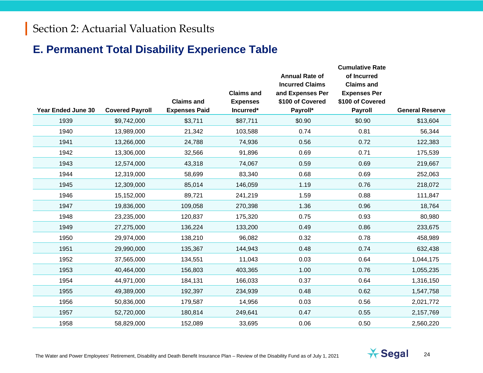### **E. Permanent Total Disability Experience Table**

| <b>Year Ended June 30</b> | <b>Covered Payroll</b> | <b>Claims and</b><br><b>Expenses Paid</b> | <b>Claims and</b><br><b>Expenses</b><br>Incurred* | <b>Annual Rate of</b><br><b>Incurred Claims</b><br>and Expenses Per<br>\$100 of Covered<br>Payroll* | <b>Cumulative Rate</b><br>of Incurred<br><b>Claims and</b><br><b>Expenses Per</b><br>\$100 of Covered<br><b>Payroll</b> | <b>General Reserve</b> |
|---------------------------|------------------------|-------------------------------------------|---------------------------------------------------|-----------------------------------------------------------------------------------------------------|-------------------------------------------------------------------------------------------------------------------------|------------------------|
| 1939                      | \$9,742,000            | \$3,711                                   | \$87,711                                          | \$0.90                                                                                              | \$0.90                                                                                                                  | \$13,604               |
| 1940                      | 13,989,000             | 21,342                                    | 103,588                                           | 0.74                                                                                                | 0.81                                                                                                                    | 56,344                 |
| 1941                      | 13,266,000             | 24,788                                    | 74,936                                            | 0.56                                                                                                | 0.72                                                                                                                    | 122,383                |
| 1942                      | 13,306,000             | 32,566                                    | 91,896                                            | 0.69                                                                                                | 0.71                                                                                                                    | 175,539                |
| 1943                      | 12,574,000             | 43,318                                    | 74,067                                            | 0.59                                                                                                | 0.69                                                                                                                    | 219,667                |
| 1944                      | 12,319,000             | 58,699                                    | 83,340                                            | 0.68                                                                                                | 0.69                                                                                                                    | 252,063                |
| 1945                      | 12,309,000             | 85,014                                    | 146,059                                           | 1.19                                                                                                | 0.76                                                                                                                    | 218,072                |
| 1946                      | 15,152,000             | 89,721                                    | 241,219                                           | 1.59                                                                                                | 0.88                                                                                                                    | 111,847                |
| 1947                      | 19,836,000             | 109,058                                   | 270,398                                           | 1.36                                                                                                | 0.96                                                                                                                    | 18,764                 |
| 1948                      | 23,235,000             | 120,837                                   | 175,320                                           | 0.75                                                                                                | 0.93                                                                                                                    | 80,980                 |
| 1949                      | 27,275,000             | 136,224                                   | 133,200                                           | 0.49                                                                                                | 0.86                                                                                                                    | 233,675                |
| 1950                      | 29,974,000             | 138,210                                   | 96,082                                            | 0.32                                                                                                | 0.78                                                                                                                    | 458,989                |
| 1951                      | 29,990,000             | 135,367                                   | 144,943                                           | 0.48                                                                                                | 0.74                                                                                                                    | 632,438                |
| 1952                      | 37,565,000             | 134,551                                   | 11,043                                            | 0.03                                                                                                | 0.64                                                                                                                    | 1,044,175              |
| 1953                      | 40,464,000             | 156,803                                   | 403,365                                           | 1.00                                                                                                | 0.76                                                                                                                    | 1,055,235              |
| 1954                      | 44,971,000             | 184,131                                   | 166,033                                           | 0.37                                                                                                | 0.64                                                                                                                    | 1,316,150              |
| 1955                      | 49,389,000             | 192,397                                   | 234,939                                           | 0.48                                                                                                | 0.62                                                                                                                    | 1,547,758              |
| 1956                      | 50,836,000             | 179,587                                   | 14,956                                            | 0.03                                                                                                | 0.56                                                                                                                    | 2,021,772              |
| 1957                      | 52,720,000             | 180,814                                   | 249,641                                           | 0.47                                                                                                | 0.55                                                                                                                    | 2,157,769              |
| 1958                      | 58,829,000             | 152,089                                   | 33,695                                            | 0.06                                                                                                | 0.50                                                                                                                    | 2,560,220              |

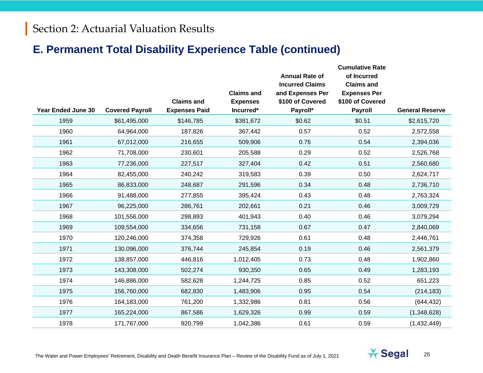### **E. Permanent Total Disability Experience Table (continued)**

|                           |                        | <b>Claims and</b>    | <b>Claims and</b><br><b>Expenses</b> | <b>Annual Rate of</b><br><b>Incurred Claims</b><br>and Expenses Per<br>\$100 of Covered | <b>Cumulative Rate</b><br>of Incurred<br><b>Claims and</b><br><b>Expenses Per</b><br>\$100 of Covered |                        |
|---------------------------|------------------------|----------------------|--------------------------------------|-----------------------------------------------------------------------------------------|-------------------------------------------------------------------------------------------------------|------------------------|
| <b>Year Ended June 30</b> | <b>Covered Payroll</b> | <b>Expenses Paid</b> | Incurred*                            | Payroll*                                                                                | <b>Payroll</b>                                                                                        | <b>General Reserve</b> |
| 1959                      | \$61,495,000           | \$146,785            | \$381,672                            | \$0.62                                                                                  | \$0.51                                                                                                | \$2,615,720            |
| 1960                      | 64,964,000             | 187,826              | 367,442                              | 0.57                                                                                    | 0.52                                                                                                  | 2,572,558              |
| 1961                      | 67,012,000             | 216,655              | 509,906                              | 0.76                                                                                    | 0.54                                                                                                  | 2,394,036              |
| 1962                      | 71,708,000             | 230,601              | 205,588                              | 0.29                                                                                    | 0.52                                                                                                  | 2,526,768              |
| 1963                      | 77,236,000             | 227,517              | 327,404                              | 0.42                                                                                    | 0.51                                                                                                  | 2,560,680              |
| 1964                      | 82,455,000             | 240,242              | 319,583                              | 0.39                                                                                    | 0.50                                                                                                  | 2,624,717              |
| 1965                      | 86,833,000             | 248,687              | 291,596                              | 0.34                                                                                    | 0.48                                                                                                  | 2,736,710              |
| 1966                      | 91,488,000             | 277,855              | 395,424                              | 0.43                                                                                    | 0.48                                                                                                  | 2,763,324              |
| 1967                      | 96,225,000             | 286,761              | 202,661                              | 0.21                                                                                    | 0.46                                                                                                  | 3,009,729              |
| 1968                      | 101,556,000            | 298,893              | 401,943                              | 0.40                                                                                    | 0.46                                                                                                  | 3,079,294              |
| 1969                      | 109,554,000            | 334,656              | 731,158                              | 0.67                                                                                    | 0.47                                                                                                  | 2,840,069              |
| 1970                      | 120,246,000            | 374,358              | 729,926                              | 0.61                                                                                    | 0.48                                                                                                  | 2,446,761              |
| 1971                      | 130,096,000            | 376,744              | 245,854                              | 0.19                                                                                    | 0.46                                                                                                  | 2,561,379              |
| 1972                      | 138,857,000            | 446,816              | 1,012,405                            | 0.73                                                                                    | 0.48                                                                                                  | 1,902,860              |
| 1973                      | 143,308,000            | 502,274              | 930,350                              | 0.65                                                                                    | 0.49                                                                                                  | 1,283,193              |
| 1974                      | 146,886,000            | 582,628              | 1,244,725                            | 0.85                                                                                    | 0.52                                                                                                  | 651,223                |
| 1975                      | 156,760,000            | 682,830              | 1,483,906                            | 0.95                                                                                    | 0.54                                                                                                  | (214, 183)             |
| 1976                      | 164,183,000            | 761,200              | 1,332,986                            | 0.81                                                                                    | 0.56                                                                                                  | (644, 432)             |
| 1977                      | 165,224,000            | 867,586              | 1,629,326                            | 0.99                                                                                    | 0.59                                                                                                  | (1,348,628)            |
| 1978                      | 171,767,000            | 920,799              | 1,042,386                            | 0.61                                                                                    | 0.59                                                                                                  | (1,432,449)            |

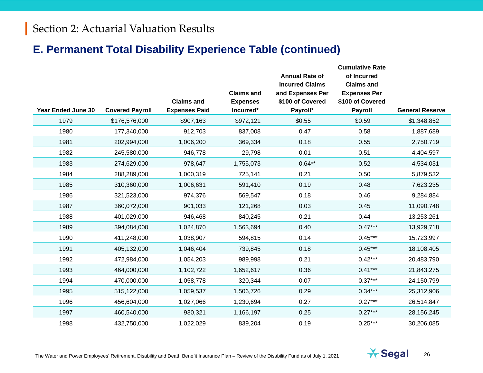### **E. Permanent Total Disability Experience Table (continued)**

|                           |                        |                      | <b>Claims and</b> | <b>Annual Rate of</b><br><b>Incurred Claims</b><br>and Expenses Per | <b>Cumulative Rate</b><br>of Incurred<br><b>Claims and</b><br><b>Expenses Per</b> |                        |
|---------------------------|------------------------|----------------------|-------------------|---------------------------------------------------------------------|-----------------------------------------------------------------------------------|------------------------|
|                           |                        | <b>Claims and</b>    | <b>Expenses</b>   | \$100 of Covered                                                    | \$100 of Covered                                                                  |                        |
| <b>Year Ended June 30</b> | <b>Covered Payroll</b> | <b>Expenses Paid</b> | Incurred*         | Payroll*                                                            | <b>Payroll</b>                                                                    | <b>General Reserve</b> |
| 1979                      | \$176,576,000          | \$907,163            | \$972,121         | \$0.55                                                              | \$0.59                                                                            | \$1,348,852            |
| 1980                      | 177,340,000            | 912,703              | 837,008           | 0.47                                                                | 0.58                                                                              | 1,887,689              |
| 1981                      | 202,994,000            | 1,006,200            | 369,334           | 0.18                                                                | 0.55                                                                              | 2,750,719              |
| 1982                      | 245,580,000            | 946,778              | 29,798            | 0.01                                                                | 0.51                                                                              | 4,404,597              |
| 1983                      | 274,629,000            | 978,647              | 1,755,073         | $0.64**$                                                            | 0.52                                                                              | 4,534,031              |
| 1984                      | 288,289,000            | 1,000,319            | 725,141           | 0.21                                                                | 0.50                                                                              | 5,879,532              |
| 1985                      | 310,360,000            | 1,006,631            | 591,410           | 0.19                                                                | 0.48                                                                              | 7,623,235              |
| 1986                      | 321,523,000            | 974,376              | 569,547           | 0.18                                                                | 0.46                                                                              | 9,284,884              |
| 1987                      | 360,072,000            | 901,033              | 121,268           | 0.03                                                                | 0.45                                                                              | 11,090,748             |
| 1988                      | 401,029,000            | 946,468              | 840,245           | 0.21                                                                | 0.44                                                                              | 13,253,261             |
| 1989                      | 394,084,000            | 1,024,870            | 1,563,694         | 0.40                                                                | $0.47***$                                                                         | 13,929,718             |
| 1990                      | 411,248,000            | 1,038,907            | 594,815           | 0.14                                                                | $0.45***$                                                                         | 15,723,997             |
| 1991                      | 405,132,000            | 1,046,404            | 739,845           | 0.18                                                                | $0.45***$                                                                         | 18,108,405             |
| 1992                      | 472,984,000            | 1,054,203            | 989,998           | 0.21                                                                | $0.42***$                                                                         | 20,483,790             |
| 1993                      | 464,000,000            | 1,102,722            | 1,652,617         | 0.36                                                                | $0.41***$                                                                         | 21,843,275             |
| 1994                      | 470,000,000            | 1,058,778            | 320,344           | 0.07                                                                | $0.37***$                                                                         | 24,150,799             |
| 1995                      | 515,122,000            | 1,059,537            | 1,506,726         | 0.29                                                                | $0.34***$                                                                         | 25,312,906             |
| 1996                      | 456,604,000            | 1,027,066            | 1,230,694         | 0.27                                                                | $0.27***$                                                                         | 26,514,847             |
| 1997                      | 460,540,000            | 930,321              | 1,166,197         | 0.25                                                                | $0.27***$                                                                         | 28,156,245             |
| 1998                      | 432,750,000            | 1,022,029            | 839,204           | 0.19                                                                | $0.25***$                                                                         | 30,206,085             |

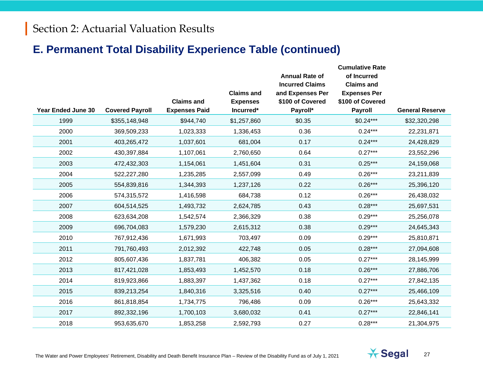### **E. Permanent Total Disability Experience Table (continued)**

|                    |                        |                                           | <b>Claims and</b>            | <b>Annual Rate of</b><br><b>Incurred Claims</b><br>and Expenses Per | <b>Cumulative Rate</b><br>of Incurred<br><b>Claims and</b><br><b>Expenses Per</b> |                        |
|--------------------|------------------------|-------------------------------------------|------------------------------|---------------------------------------------------------------------|-----------------------------------------------------------------------------------|------------------------|
| Year Ended June 30 | <b>Covered Payroll</b> | <b>Claims and</b><br><b>Expenses Paid</b> | <b>Expenses</b><br>Incurred* | \$100 of Covered<br>Payroll*                                        | \$100 of Covered<br>Payroll                                                       | <b>General Reserve</b> |
| 1999               | \$355,148,948          | \$944,740                                 | \$1,257,860                  | \$0.35                                                              | $$0.24***$                                                                        | \$32,320,298           |
| 2000               | 369,509,233            | 1,023,333                                 | 1,336,453                    | 0.36                                                                | $0.24***$                                                                         | 22,231,871             |
| 2001               | 403,265,472            | 1,037,601                                 | 681,004                      | 0.17                                                                | $0.24***$                                                                         | 24,428,829             |
| 2002               | 430,397,884            | 1,107,061                                 | 2,760,650                    | 0.64                                                                | $0.27***$                                                                         | 23,552,296             |
| 2003               | 472,432,303            | 1,154,061                                 | 1,451,604                    | 0.31                                                                | $0.25***$                                                                         | 24,159,068             |
| 2004               | 522,227,280            | 1,235,285                                 | 2,557,099                    | 0.49                                                                | $0.26***$                                                                         | 23,211,839             |
| 2005               | 554,839,816            | 1,344,393                                 | 1,237,126                    | 0.22                                                                | $0.26***$                                                                         | 25,396,120             |
| 2006               | 574,315,572            | 1,416,598                                 | 684,738                      | 0.12                                                                | $0.26***$                                                                         | 26,438,032             |
| 2007               | 604,514,525            | 1,493,732                                 | 2,624,785                    | 0.43                                                                | $0.28***$                                                                         | 25,697,531             |
| 2008               | 623,634,208            | 1,542,574                                 | 2,366,329                    | 0.38                                                                | $0.29***$                                                                         | 25,256,078             |
| 2009               | 696,704,083            | 1,579,230                                 | 2,615,312                    | 0.38                                                                | $0.29***$                                                                         | 24,645,343             |
| 2010               | 767,912,436            | 1,671,993                                 | 703,497                      | 0.09                                                                | $0.29***$                                                                         | 25,810,871             |
| 2011               | 791,760,493            | 2,012,392                                 | 422,748                      | 0.05                                                                | $0.28***$                                                                         | 27,094,608             |
| 2012               | 805,607,436            | 1,837,781                                 | 406,382                      | 0.05                                                                | $0.27***$                                                                         | 28,145,999             |
| 2013               | 817,421,028            | 1,853,493                                 | 1,452,570                    | 0.18                                                                | $0.26***$                                                                         | 27,886,706             |
| 2014               | 819,923,866            | 1,883,397                                 | 1,437,362                    | 0.18                                                                | $0.27***$                                                                         | 27,842,135             |
| 2015               | 839,213,254            | 1,840,316                                 | 3,325,516                    | 0.40                                                                | $0.27***$                                                                         | 25,466,109             |
| 2016               | 861,818,854            | 1,734,775                                 | 796,486                      | 0.09                                                                | $0.26***$                                                                         | 25,643,332             |
| 2017               | 892,332,196            | 1,700,103                                 | 3,680,032                    | 0.41                                                                | $0.27***$                                                                         | 22,846,141             |
| 2018               | 953,635,670            | 1,853,258                                 | 2,592,793                    | 0.27                                                                | $0.28***$                                                                         | 21,304,975             |

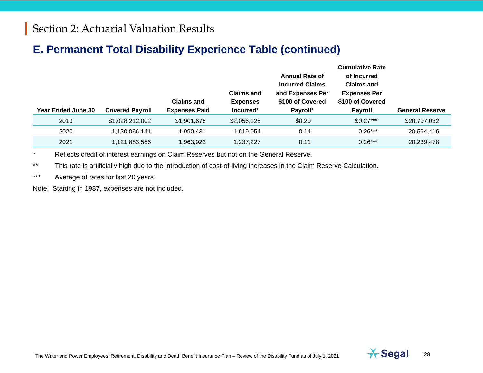#### **E. Permanent Total Disability Experience Table (continued)**

|                    |                        | <b>Claims and</b>    | <b>Claims and</b><br><b>Expenses</b> | <b>Annual Rate of</b><br><b>Incurred Claims</b><br>and Expenses Per<br>\$100 of Covered | <b>Cumulative Rate</b><br>of Incurred<br><b>Claims and</b><br><b>Expenses Per</b><br>\$100 of Covered |                        |
|--------------------|------------------------|----------------------|--------------------------------------|-----------------------------------------------------------------------------------------|-------------------------------------------------------------------------------------------------------|------------------------|
| Year Ended June 30 | <b>Covered Payroll</b> | <b>Expenses Paid</b> | Incurred*                            | Payroll*                                                                                | <b>Payroll</b>                                                                                        | <b>General Reserve</b> |
| 2019               | \$1,028,212,002        | \$1,901,678          | \$2,056,125                          | \$0.20                                                                                  | $$0.27***$                                                                                            | \$20,707,032           |
| 2020               | 1,130,066,141          | ,990,431             | 1,619,054                            | 0.14                                                                                    | $0.26***$                                                                                             | 20,594,416             |
| 2021               | 1,121,883,556          | ,963,922             | 1,237,227                            | 0.11                                                                                    | $0.26***$                                                                                             | 20,239,478             |

\* Reflects credit of interest earnings on Claim Reserves but not on the General Reserve.

\*\* This rate is artificially high due to the introduction of cost-of-living increases in the Claim Reserve Calculation.

\*\*\* Average of rates for last 20 years.

Note: Starting in 1987, expenses are not included.

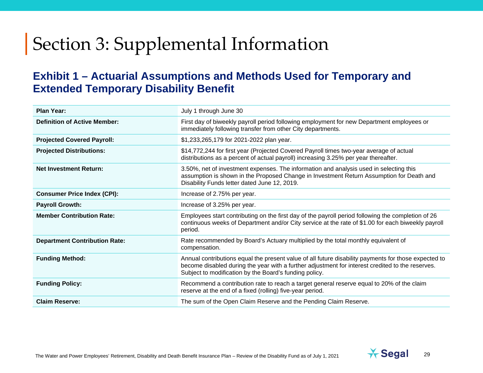#### **Exhibit 1 – Actuarial Assumptions and Methods Used for Temporary and Extended Temporary Disability Benefit**

| <b>Plan Year:</b>                    | July 1 through June 30                                                                                                                                                                                                                                             |
|--------------------------------------|--------------------------------------------------------------------------------------------------------------------------------------------------------------------------------------------------------------------------------------------------------------------|
| <b>Definition of Active Member:</b>  | First day of biweekly payroll period following employment for new Department employees or<br>immediately following transfer from other City departments.                                                                                                           |
| <b>Projected Covered Payroll:</b>    | \$1,233,265,179 for 2021-2022 plan year.                                                                                                                                                                                                                           |
| <b>Projected Distributions:</b>      | \$14,772,244 for first year (Projected Covered Payroll times two-year average of actual<br>distributions as a percent of actual payroll) increasing 3.25% per year thereafter.                                                                                     |
| <b>Net Investment Return:</b>        | 3.50%, net of investment expenses. The information and analysis used in selecting this<br>assumption is shown in the Proposed Change in Investment Return Assumption for Death and<br>Disability Funds letter dated June 12, 2019.                                 |
| <b>Consumer Price Index (CPI):</b>   | Increase of 2.75% per year.                                                                                                                                                                                                                                        |
| <b>Payroll Growth:</b>               | Increase of 3.25% per year.                                                                                                                                                                                                                                        |
| <b>Member Contribution Rate:</b>     | Employees start contributing on the first day of the payroll period following the completion of 26<br>continuous weeks of Department and/or City service at the rate of \$1.00 for each biweekly payroll<br>period.                                                |
| <b>Department Contribution Rate:</b> | Rate recommended by Board's Actuary multiplied by the total monthly equivalent of<br>compensation.                                                                                                                                                                 |
| <b>Funding Method:</b>               | Annual contributions equal the present value of all future disability payments for those expected to<br>become disabled during the year with a further adjustment for interest credited to the reserves.<br>Subject to modification by the Board's funding policy. |
| <b>Funding Policy:</b>               | Recommend a contribution rate to reach a target general reserve equal to 20% of the claim<br>reserve at the end of a fixed (rolling) five-year period.                                                                                                             |
| <b>Claim Reserve:</b>                | The sum of the Open Claim Reserve and the Pending Claim Reserve.                                                                                                                                                                                                   |

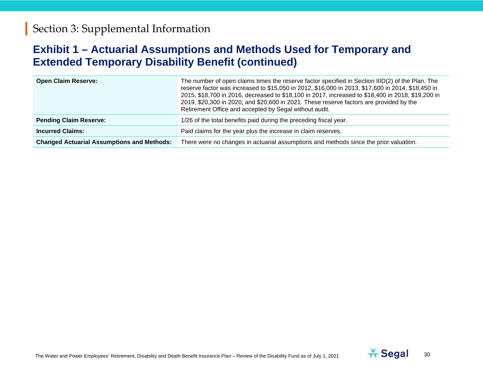#### **Exhibit 1 – Actuarial Assumptions and Methods Used for Temporary and Extended Temporary Disability Benefit (continued)**

| <b>Open Claim Reserve:</b>                        | The number of open claims times the reserve factor specified in Section IIID(2) of the Plan. The<br>reserve factor was increased to \$15,050 in 2012, \$16,000 in 2013, \$17,600 in 2014, \$18,450 in<br>2015, \$18,700 in 2016, decreased to \$18,100 in 2017, increased to \$18,400 in 2018, \$19,200 in<br>2019, \$20,300 in 2020, and \$20,600 in 2021. These reserve factors are provided by the<br>Retirement Office and accepted by Segal without audit. |
|---------------------------------------------------|-----------------------------------------------------------------------------------------------------------------------------------------------------------------------------------------------------------------------------------------------------------------------------------------------------------------------------------------------------------------------------------------------------------------------------------------------------------------|
| <b>Pending Claim Reserve:</b>                     | 1/26 of the total benefits paid during the preceding fiscal year.                                                                                                                                                                                                                                                                                                                                                                                               |
| <b>Incurred Claims:</b>                           | Paid claims for the year plus the increase in claim reserves.                                                                                                                                                                                                                                                                                                                                                                                                   |
| <b>Changed Actuarial Assumptions and Methods:</b> | There were no changes in actuarial assumptions and methods since the prior valuation.                                                                                                                                                                                                                                                                                                                                                                           |

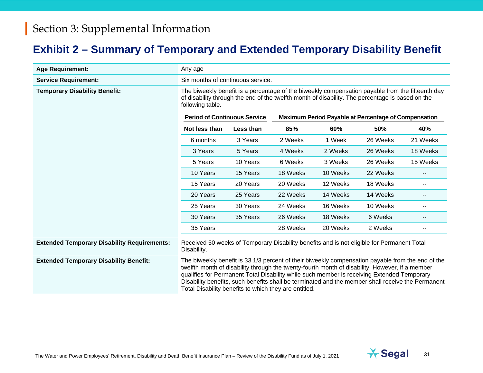### **Exhibit 2 – Summary of Temporary and Extended Temporary Disability Benefit**

| <b>Age Requirement:</b>                            | Any age                                                                                                                                                                                                                                                                                                                                                                                                                                                          |           |                                                             |          |          |                                       |  |
|----------------------------------------------------|------------------------------------------------------------------------------------------------------------------------------------------------------------------------------------------------------------------------------------------------------------------------------------------------------------------------------------------------------------------------------------------------------------------------------------------------------------------|-----------|-------------------------------------------------------------|----------|----------|---------------------------------------|--|
| <b>Service Requirement:</b>                        | Six months of continuous service.                                                                                                                                                                                                                                                                                                                                                                                                                                |           |                                                             |          |          |                                       |  |
| <b>Temporary Disability Benefit:</b>               | The biweekly benefit is a percentage of the biweekly compensation payable from the fifteenth day<br>of disability through the end of the twelfth month of disability. The percentage is based on the<br>following table.                                                                                                                                                                                                                                         |           |                                                             |          |          |                                       |  |
|                                                    | <b>Period of Continuous Service</b>                                                                                                                                                                                                                                                                                                                                                                                                                              |           | <b>Maximum Period Payable at Percentage of Compensation</b> |          |          |                                       |  |
|                                                    | Not less than                                                                                                                                                                                                                                                                                                                                                                                                                                                    | Less than | 85%                                                         | 60%      | 50%      | 40%                                   |  |
|                                                    | 6 months                                                                                                                                                                                                                                                                                                                                                                                                                                                         | 3 Years   | 2 Weeks                                                     | 1 Week   | 26 Weeks | 21 Weeks                              |  |
|                                                    | 3 Years                                                                                                                                                                                                                                                                                                                                                                                                                                                          | 5 Years   | 4 Weeks                                                     | 2 Weeks  | 26 Weeks | 18 Weeks                              |  |
|                                                    | 5 Years                                                                                                                                                                                                                                                                                                                                                                                                                                                          | 10 Years  | 6 Weeks                                                     | 3 Weeks  | 26 Weeks | 15 Weeks                              |  |
|                                                    | 10 Years                                                                                                                                                                                                                                                                                                                                                                                                                                                         | 15 Years  | 18 Weeks                                                    | 10 Weeks | 22 Weeks | $\overline{\phantom{a}}$              |  |
|                                                    | 15 Years                                                                                                                                                                                                                                                                                                                                                                                                                                                         | 20 Years  | 20 Weeks                                                    | 12 Weeks | 18 Weeks | $\overline{\phantom{a}}$              |  |
|                                                    | 20 Years                                                                                                                                                                                                                                                                                                                                                                                                                                                         | 25 Years  | 22 Weeks                                                    | 14 Weeks | 14 Weeks | $\hspace{0.05cm}$ – $\hspace{0.05cm}$ |  |
|                                                    | 25 Years                                                                                                                                                                                                                                                                                                                                                                                                                                                         | 30 Years  | 24 Weeks                                                    | 16 Weeks | 10 Weeks | $\overline{\phantom{m}}$              |  |
|                                                    | 30 Years                                                                                                                                                                                                                                                                                                                                                                                                                                                         | 35 Years  | 26 Weeks                                                    | 18 Weeks | 6 Weeks  | $\overline{\phantom{a}}$              |  |
|                                                    | 35 Years                                                                                                                                                                                                                                                                                                                                                                                                                                                         |           | 28 Weeks                                                    | 20 Weeks | 2 Weeks  |                                       |  |
| <b>Extended Temporary Disability Requirements:</b> | Received 50 weeks of Temporary Disability benefits and is not eligible for Permanent Total<br>Disability.                                                                                                                                                                                                                                                                                                                                                        |           |                                                             |          |          |                                       |  |
| <b>Extended Temporary Disability Benefit:</b>      | The biweekly benefit is 33 1/3 percent of their biweekly compensation payable from the end of the<br>twelfth month of disability through the twenty-fourth month of disability. However, if a member<br>qualifies for Permanent Total Disability while such member is receiving Extended Temporary<br>Disability benefits, such benefits shall be terminated and the member shall receive the Permanent<br>Total Disability benefits to which they are entitled. |           |                                                             |          |          |                                       |  |

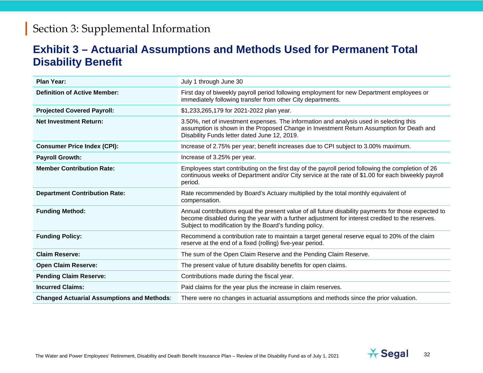#### **Exhibit 3 – Actuarial Assumptions and Methods Used for Permanent Total Disability Benefit**

| <b>Plan Year:</b>                                 | July 1 through June 30                                                                                                                                                                                                                                             |
|---------------------------------------------------|--------------------------------------------------------------------------------------------------------------------------------------------------------------------------------------------------------------------------------------------------------------------|
| <b>Definition of Active Member:</b>               | First day of biweekly payroll period following employment for new Department employees or<br>immediately following transfer from other City departments.                                                                                                           |
| <b>Projected Covered Payroll:</b>                 | \$1,233,265,179 for 2021-2022 plan year.                                                                                                                                                                                                                           |
| <b>Net Investment Return:</b>                     | 3.50%, net of investment expenses. The information and analysis used in selecting this<br>assumption is shown in the Proposed Change in Investment Return Assumption for Death and<br>Disability Funds letter dated June 12, 2019.                                 |
| <b>Consumer Price Index (CPI):</b>                | Increase of 2.75% per year; benefit increases due to CPI subject to 3.00% maximum.                                                                                                                                                                                 |
| <b>Payroll Growth:</b>                            | Increase of 3.25% per year.                                                                                                                                                                                                                                        |
| <b>Member Contribution Rate:</b>                  | Employees start contributing on the first day of the payroll period following the completion of 26<br>continuous weeks of Department and/or City service at the rate of \$1.00 for each biweekly payroll<br>period.                                                |
| <b>Department Contribution Rate:</b>              | Rate recommended by Board's Actuary multiplied by the total monthly equivalent of<br>compensation.                                                                                                                                                                 |
| <b>Funding Method:</b>                            | Annual contributions equal the present value of all future disability payments for those expected to<br>become disabled during the year with a further adjustment for interest credited to the reserves.<br>Subject to modification by the Board's funding policy. |
| <b>Funding Policy:</b>                            | Recommend a contribution rate to maintain a target general reserve equal to 20% of the claim<br>reserve at the end of a fixed (rolling) five-year period.                                                                                                          |
| <b>Claim Reserve:</b>                             | The sum of the Open Claim Reserve and the Pending Claim Reserve.                                                                                                                                                                                                   |
| <b>Open Claim Reserve:</b>                        | The present value of future disability benefits for open claims.                                                                                                                                                                                                   |
| <b>Pending Claim Reserve:</b>                     | Contributions made during the fiscal year.                                                                                                                                                                                                                         |
| <b>Incurred Claims:</b>                           | Paid claims for the year plus the increase in claim reserves.                                                                                                                                                                                                      |
| <b>Changed Actuarial Assumptions and Methods:</b> | There were no changes in actuarial assumptions and methods since the prior valuation.                                                                                                                                                                              |

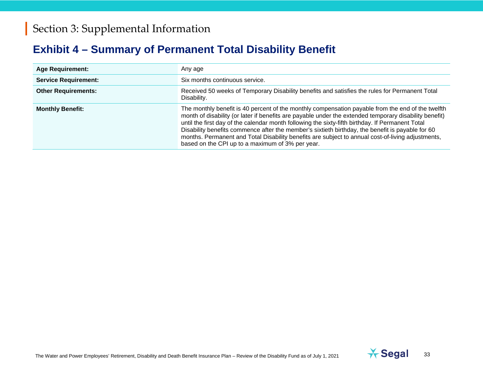### **Exhibit 4 – Summary of Permanent Total Disability Benefit**

| <b>Age Requirement:</b>     | Any age                                                                                                                                                                                                                                                                                                                                                                                                                                                                                                                                                                      |
|-----------------------------|------------------------------------------------------------------------------------------------------------------------------------------------------------------------------------------------------------------------------------------------------------------------------------------------------------------------------------------------------------------------------------------------------------------------------------------------------------------------------------------------------------------------------------------------------------------------------|
| <b>Service Requirement:</b> | Six months continuous service.                                                                                                                                                                                                                                                                                                                                                                                                                                                                                                                                               |
| <b>Other Requirements:</b>  | Received 50 weeks of Temporary Disability benefits and satisfies the rules for Permanent Total<br>Disability.                                                                                                                                                                                                                                                                                                                                                                                                                                                                |
| <b>Monthly Benefit:</b>     | The monthly benefit is 40 percent of the monthly compensation payable from the end of the twelfth<br>month of disability (or later if benefits are payable under the extended temporary disability benefit)<br>until the first day of the calendar month following the sixty-fifth birthday. If Permanent Total<br>Disability benefits commence after the member's sixtieth birthday, the benefit is payable for 60<br>months. Permanent and Total Disability benefits are subject to annual cost-of-living adjustments,<br>based on the CPI up to a maximum of 3% per year. |

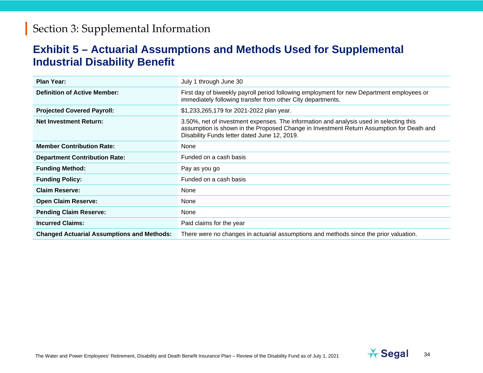#### **Exhibit 5 – Actuarial Assumptions and Methods Used for Supplemental Industrial Disability Benefit**

| <b>Plan Year:</b>                                 | July 1 through June 30                                                                                                                                                                                                             |
|---------------------------------------------------|------------------------------------------------------------------------------------------------------------------------------------------------------------------------------------------------------------------------------------|
| <b>Definition of Active Member:</b>               | First day of biweekly payroll period following employment for new Department employees or<br>immediately following transfer from other City departments.                                                                           |
| <b>Projected Covered Payroll:</b>                 | \$1,233,265,179 for 2021-2022 plan year.                                                                                                                                                                                           |
| <b>Net Investment Return:</b>                     | 3.50%, net of investment expenses. The information and analysis used in selecting this<br>assumption is shown in the Proposed Change in Investment Return Assumption for Death and<br>Disability Funds letter dated June 12, 2019. |
| <b>Member Contribution Rate:</b>                  | None                                                                                                                                                                                                                               |
| <b>Department Contribution Rate:</b>              | Funded on a cash basis                                                                                                                                                                                                             |
| <b>Funding Method:</b>                            | Pay as you go                                                                                                                                                                                                                      |
| <b>Funding Policy:</b>                            | Funded on a cash basis                                                                                                                                                                                                             |
| <b>Claim Reserve:</b>                             | None                                                                                                                                                                                                                               |
| <b>Open Claim Reserve:</b>                        | None                                                                                                                                                                                                                               |
| <b>Pending Claim Reserve:</b>                     | None                                                                                                                                                                                                                               |
| <b>Incurred Claims:</b>                           | Paid claims for the year                                                                                                                                                                                                           |
| <b>Changed Actuarial Assumptions and Methods:</b> | There were no changes in actuarial assumptions and methods since the prior valuation.                                                                                                                                              |